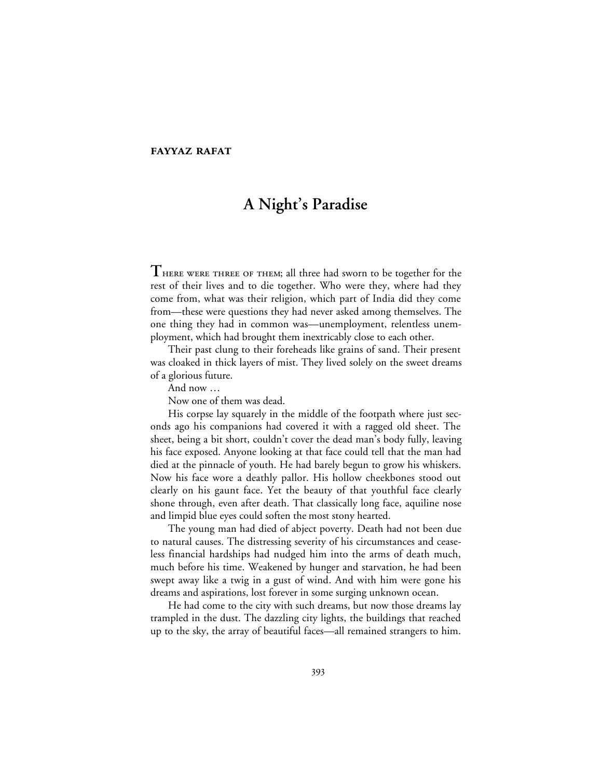## **FAYYAZ RAFAT**

## **A Night's Paradise**

**T** HERE WERE THREE OF THEM; all three had sworn to be together for the rest of their lives and to die together. Who were they, where had they come from, what was their religion, which part of India did they come from—these were questions they had never asked among themselves. The one thing they had in common was—unemployment, relentless unemployment, which had brought them inextricably close to each other.

Their past clung to their foreheads like grains of sand. Their present was cloaked in thick layers of mist. They lived solely on the sweet dreams of a glorious future.

And now …

Now one of them was dead.

His corpse lay squarely in the middle of the footpath where just seconds ago his companions had covered it with a ragged old sheet. The sheet, being a bit short, couldn't cover the dead man's body fully, leaving his face exposed. Anyone looking at that face could tell that the man had died at the pinnacle of youth. He had barely begun to grow his whiskers. Now his face wore a deathly pallor. His hollow cheekbones stood out clearly on his gaunt face. Yet the beauty of that youthful face clearly shone through, even after death. That classically long face, aquiline nose and limpid blue eyes could soften the most stony hearted.

The young man had died of abject poverty. Death had not been due to natural causes. The distressing severity of his circumstances and ceaseless financial hardships had nudged him into the arms of death much, much before his time. Weakened by hunger and starvation, he had been swept away like a twig in a gust of wind. And with him were gone his dreams and aspirations, lost forever in some surging unknown ocean.

He had come to the city with such dreams, but now those dreams lay trampled in the dust. The dazzling city lights, the buildings that reached up to the sky, the array of beautiful faces—all remained strangers to him.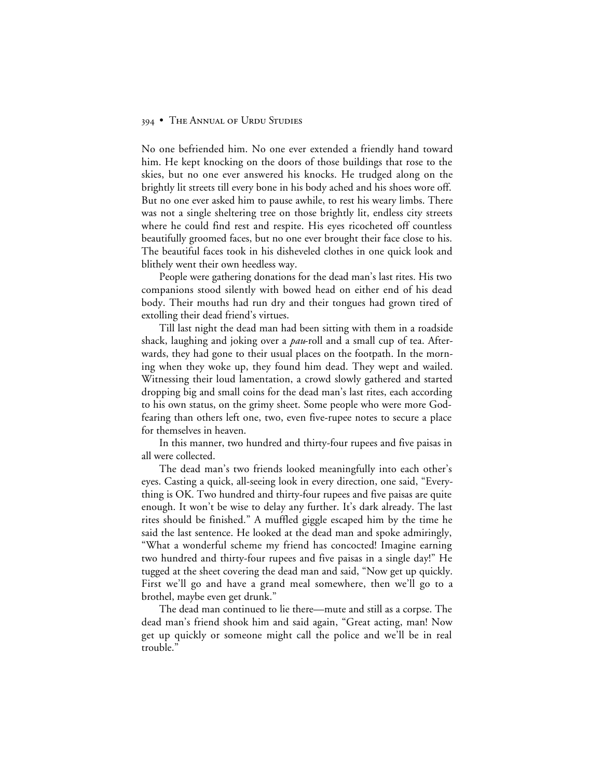## 394 • THE ANNUAL OF URDU STUDIES

No one befriended him. No one ever extended a friendly hand toward him. He kept knocking on the doors of those buildings that rose to the skies, but no one ever answered his knocks. He trudged along on the brightly lit streets till every bone in his body ached and his shoes wore off. But no one ever asked him to pause awhile, to rest his weary limbs. There was not a single sheltering tree on those brightly lit, endless city streets where he could find rest and respite. His eyes ricocheted off countless beautifully groomed faces, but no one ever brought their face close to his. The beautiful faces took in his disheveled clothes in one quick look and blithely went their own heedless way.

People were gathering donations for the dead man's last rites. His two companions stood silently with bowed head on either end of his dead body. Their mouths had run dry and their tongues had grown tired of extolling their dead friend's virtues.

Till last night the dead man had been sitting with them in a roadside shack, laughing and joking over a *pau*-roll and a small cup of tea. Afterwards, they had gone to their usual places on the footpath. In the morning when they woke up, they found him dead. They wept and wailed. Witnessing their loud lamentation, a crowd slowly gathered and started dropping big and small coins for the dead man's last rites, each according to his own status, on the grimy sheet. Some people who were more Godfearing than others left one, two, even five-rupee notes to secure a place for themselves in heaven.

In this manner, two hundred and thirty-four rupees and five paisas in all were collected.

The dead man's two friends looked meaningfully into each other's eyes. Casting a quick, all-seeing look in every direction, one said, "Everything is OK. Two hundred and thirty-four rupees and five paisas are quite enough. It won't be wise to delay any further. It's dark already. The last rites should be finished." A muffled giggle escaped him by the time he said the last sentence. He looked at the dead man and spoke admiringly, "What a wonderful scheme my friend has concocted! Imagine earning two hundred and thirty-four rupees and five paisas in a single day!" He tugged at the sheet covering the dead man and said, "Now get up quickly. First we'll go and have a grand meal somewhere, then we'll go to a brothel, maybe even get drunk."

The dead man continued to lie there—mute and still as a corpse. The dead man's friend shook him and said again, "Great acting, man! Now get up quickly or someone might call the police and we'll be in real trouble."